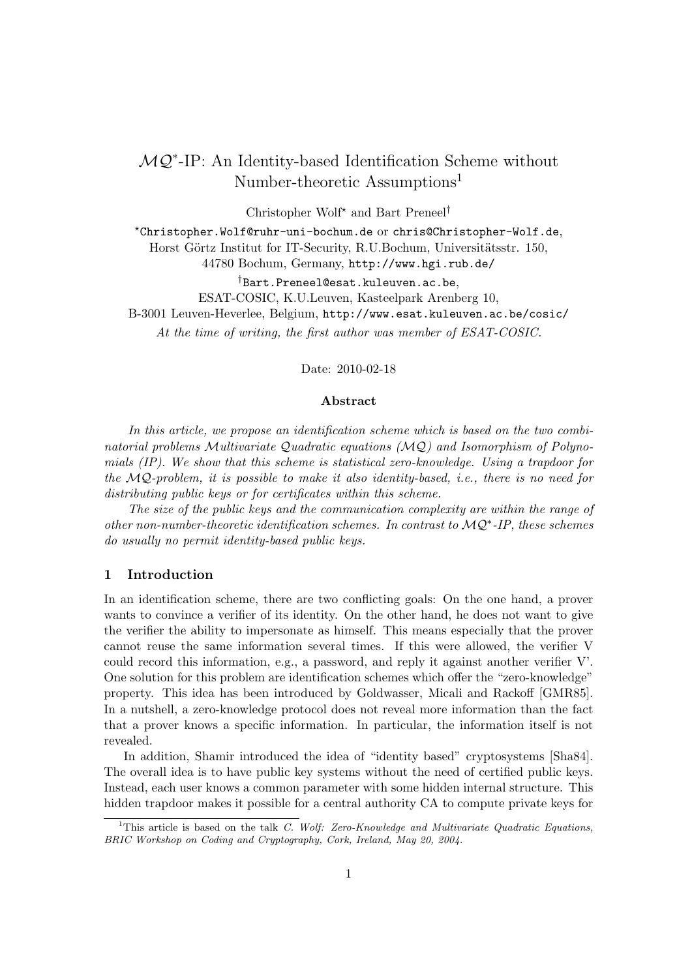# MQ<sup>\*</sup>-IP: An Identity-based Identification Scheme without Number-theoretic Assumptions<sup>1</sup>

Christopher Wolf? and Bart Preneel†

?Christopher.Wolf@ruhr-uni-bochum.de or chris@Christopher-Wolf.de, Horst Görtz Institut for IT-Security, R.U.Bochum, Universitätsstr. 150, 44780 Bochum, Germany, http://www.hgi.rub.de/

†Bart.Preneel@esat.kuleuven.ac.be,

ESAT-COSIC, K.U.Leuven, Kasteelpark Arenberg 10,

B-3001 Leuven-Heverlee, Belgium, http://www.esat.kuleuven.ac.be/cosic/

At the time of writing, the first author was member of ESAT-COSIC.

Date: 2010-02-18

#### Abstract

In this article, we propose an identification scheme which is based on the two combinatorial problems Multivariate Quadratic equations (MQ) and Isomorphism of Polynomials (IP). We show that this scheme is statistical zero-knowledge. Using a trapdoor for the MQ-problem, it is possible to make it also identity-based, i.e., there is no need for distributing public keys or for certificates within this scheme.

The size of the public keys and the communication complexity are within the range of other non-number-theoretic identification schemes. In contrast to  $MQ^*$ -IP, these schemes do usually no permit identity-based public keys.

## 1 Introduction

In an identification scheme, there are two conflicting goals: On the one hand, a prover wants to convince a verifier of its identity. On the other hand, he does not want to give the verifier the ability to impersonate as himself. This means especially that the prover cannot reuse the same information several times. If this were allowed, the verifier V could record this information, e.g., a password, and reply it against another verifier V'. One solution for this problem are identification schemes which offer the "zero-knowledge" property. This idea has been introduced by Goldwasser, Micali and Rackoff [GMR85]. In a nutshell, a zero-knowledge protocol does not reveal more information than the fact that a prover knows a specific information. In particular, the information itself is not revealed.

In addition, Shamir introduced the idea of "identity based" cryptosystems [Sha84]. The overall idea is to have public key systems without the need of certified public keys. Instead, each user knows a common parameter with some hidden internal structure. This hidden trapdoor makes it possible for a central authority CA to compute private keys for

<sup>&</sup>lt;sup>1</sup>This article is based on the talk *C. Wolf: Zero-Knowledge and Multivariate Quadratic Equations*, BRIC Workshop on Coding and Cryptography, Cork, Ireland, May 20, 2004.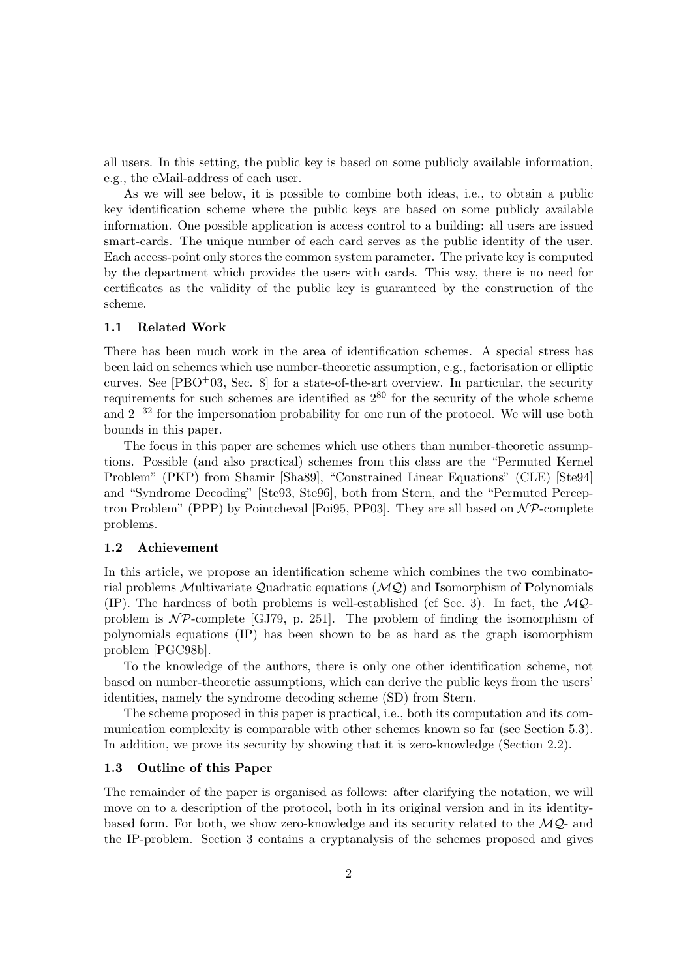all users. In this setting, the public key is based on some publicly available information, e.g., the eMail-address of each user.

As we will see below, it is possible to combine both ideas, i.e., to obtain a public key identification scheme where the public keys are based on some publicly available information. One possible application is access control to a building: all users are issued smart-cards. The unique number of each card serves as the public identity of the user. Each access-point only stores the common system parameter. The private key is computed by the department which provides the users with cards. This way, there is no need for certificates as the validity of the public key is guaranteed by the construction of the scheme.

## 1.1 Related Work

There has been much work in the area of identification schemes. A special stress has been laid on schemes which use number-theoretic assumption, e.g., factorisation or elliptic curves. See  $[{\rm PBO}^{+}03, {\rm Sec. 8}]$  for a state-of-the-art overview. In particular, the security requirements for such schemes are identified as  $2^{80}$  for the security of the whole scheme and  $2^{-32}$  for the impersonation probability for one run of the protocol. We will use both bounds in this paper.

The focus in this paper are schemes which use others than number-theoretic assumptions. Possible (and also practical) schemes from this class are the "Permuted Kernel Problem" (PKP) from Shamir [Sha89], "Constrained Linear Equations" (CLE) [Ste94] and "Syndrome Decoding" [Ste93, Ste96], both from Stern, and the "Permuted Perceptron Problem" (PPP) by Pointcheval [Poi95, PP03]. They are all based on  $\mathcal{NP}$ -complete problems.

#### 1.2 Achievement

In this article, we propose an identification scheme which combines the two combinatorial problems Multivariate Quadratic equations  $(MQ)$  and Isomorphism of Polynomials (IP). The hardness of both problems is well-established (cf Sec. 3). In fact, the  $MQ$ problem is  $\mathcal{NP}$ -complete [GJ79, p. 251]. The problem of finding the isomorphism of polynomials equations (IP) has been shown to be as hard as the graph isomorphism problem [PGC98b].

To the knowledge of the authors, there is only one other identification scheme, not based on number-theoretic assumptions, which can derive the public keys from the users' identities, namely the syndrome decoding scheme (SD) from Stern.

The scheme proposed in this paper is practical, i.e., both its computation and its communication complexity is comparable with other schemes known so far (see Section 5.3). In addition, we prove its security by showing that it is zero-knowledge (Section 2.2).

## 1.3 Outline of this Paper

The remainder of the paper is organised as follows: after clarifying the notation, we will move on to a description of the protocol, both in its original version and in its identitybased form. For both, we show zero-knowledge and its security related to the  $MQ$ - and the IP-problem. Section 3 contains a cryptanalysis of the schemes proposed and gives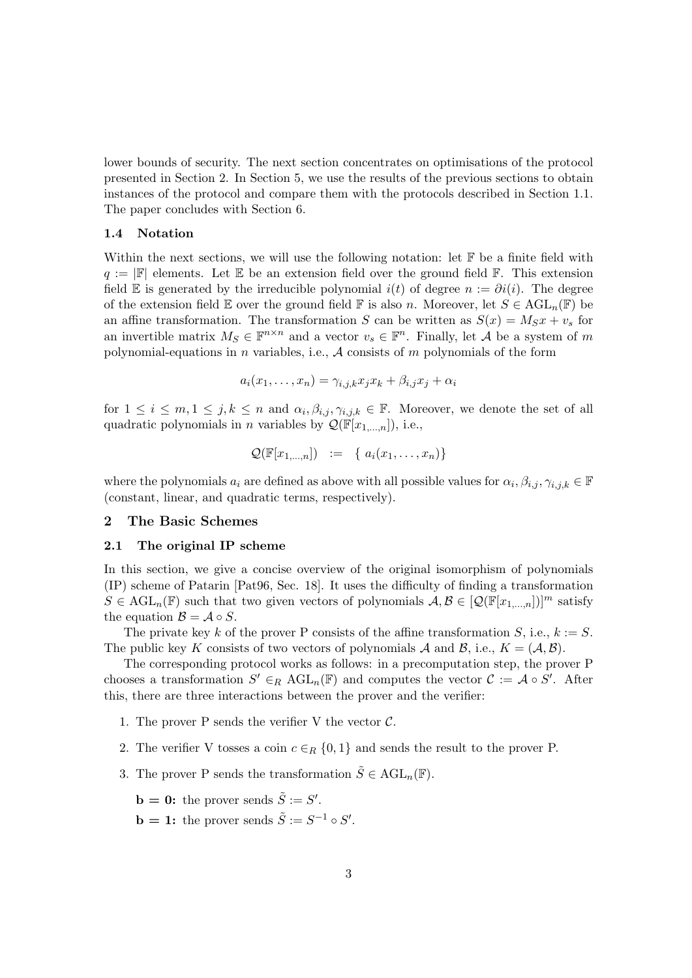lower bounds of security. The next section concentrates on optimisations of the protocol presented in Section 2. In Section 5, we use the results of the previous sections to obtain instances of the protocol and compare them with the protocols described in Section 1.1. The paper concludes with Section 6.

#### 1.4 Notation

Within the next sections, we will use the following notation: let  $\mathbb F$  be a finite field with  $q := |F|$  elements. Let E be an extension field over the ground field F. This extension field E is generated by the irreducible polynomial  $i(t)$  of degree  $n := \partial i(i)$ . The degree of the extension field E over the ground field F is also n. Moreover, let  $S \in \text{AGL}_n(\mathbb{F})$  be an affine transformation. The transformation S can be written as  $S(x) = M_S x + v_s$  for an invertible matrix  $M_S \in \mathbb{F}^{n \times n}$  and a vector  $v_s \in \mathbb{F}^n$ . Finally, let A be a system of m polynomial-equations in n variables, i.e.,  $A$  consists of m polynomials of the form

$$
a_i(x_1,\ldots,x_n)=\gamma_{i,j,k}x_jx_k+\beta_{i,j}x_j+\alpha_i
$$

for  $1 \leq i \leq m, 1 \leq j, k \leq n$  and  $\alpha_i, \beta_{i,j}, \gamma_{i,j,k} \in \mathbb{F}$ . Moreover, we denote the set of all quadratic polynomials in *n* variables by  $\mathcal{Q}(\mathbb{F}[x_{1,...,n}]),$  i.e.,

$$
\mathcal{Q}(\mathbb{F}[x_{1,\ldots,n}]) \quad := \quad \{ \ a_i(x_1,\ldots,x_n) \}
$$

where the polynomials  $a_i$  are defined as above with all possible values for  $\alpha_i, \beta_{i,j}, \gamma_{i,j,k} \in \mathbb{F}$ (constant, linear, and quadratic terms, respectively).

## 2 The Basic Schemes

## 2.1 The original IP scheme

In this section, we give a concise overview of the original isomorphism of polynomials (IP) scheme of Patarin [Pat96, Sec. 18]. It uses the difficulty of finding a transformation  $S \in \text{AGL}_n(\mathbb{F})$  such that two given vectors of polynomials  $\mathcal{A}, \mathcal{B} \in [\mathcal{Q}(\mathbb{F}[x_{1,...,n}])]^m$  satisfy the equation  $\mathcal{B} = \mathcal{A} \circ S$ .

The private key k of the prover P consists of the affine transformation S, i.e.,  $k := S$ . The public key K consists of two vectors of polynomials A and B, i.e.,  $K = (A, B)$ .

The corresponding protocol works as follows: in a precomputation step, the prover P chooses a transformation  $S' \in_R \text{AGL}_n(\mathbb{F})$  and computes the vector  $C := \mathcal{A} \circ S'$ . After this, there are three interactions between the prover and the verifier:

- 1. The prover P sends the verifier V the vector  $C$ .
- 2. The verifier V tosses a coin  $c \in_R \{0,1\}$  and sends the result to the prover P.
- 3. The prover P sends the transformation  $\tilde{S} \in \text{AGL}_n(\mathbb{F})$ .

**b** = **0**: the prover sends  $\tilde{S} := S'$ .

**b** = 1: the prover sends  $\tilde{S} := S^{-1} \circ S'$ .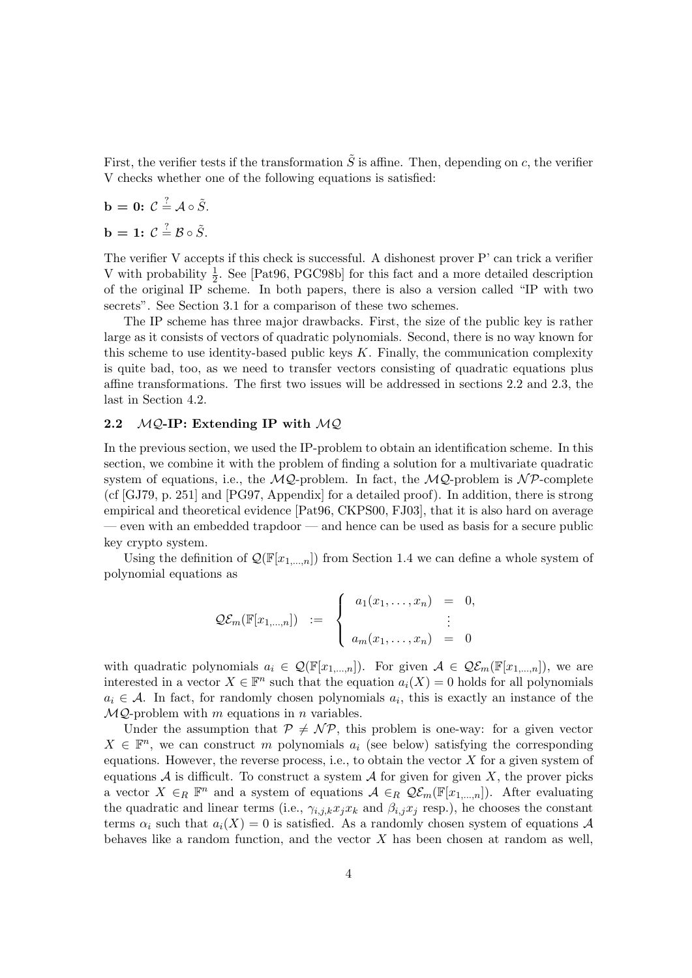First, the verifier tests if the transformation  $\tilde{S}$  is affine. Then, depending on c, the verifier V checks whether one of the following equations is satisfied:

$$
\mathbf{b} = \mathbf{0}: \ \mathcal{C} \stackrel{?}{=} \mathcal{A} \circ \tilde{S}.
$$

 $\mathbf{b} = \mathbf{1:} \ \mathcal{C} \stackrel{?}{=} \mathcal{B} \circ \tilde{S}.$ 

The verifier V accepts if this check is successful. A dishonest prover P' can trick a verifier V with probability  $\frac{1}{2}$ . See [Pat96, PGC98b] for this fact and a more detailed description of the original IP scheme. In both papers, there is also a version called "IP with two secrets". See Section 3.1 for a comparison of these two schemes.

The IP scheme has three major drawbacks. First, the size of the public key is rather large as it consists of vectors of quadratic polynomials. Second, there is no way known for this scheme to use identity-based public keys  $K$ . Finally, the communication complexity is quite bad, too, as we need to transfer vectors consisting of quadratic equations plus affine transformations. The first two issues will be addressed in sections 2.2 and 2.3, the last in Section 4.2.

#### 2.2  $MQ$ -IP: Extending IP with  $MQ$

In the previous section, we used the IP-problem to obtain an identification scheme. In this section, we combine it with the problem of finding a solution for a multivariate quadratic system of equations, i.e., the  $MQ$ -problem. In fact, the  $MQ$ -problem is  $\mathcal{NP}$ -complete (cf [GJ79, p. 251] and [PG97, Appendix] for a detailed proof). In addition, there is strong empirical and theoretical evidence [Pat96, CKPS00, FJ03], that it is also hard on average — even with an embedded trapdoor — and hence can be used as basis for a secure public key crypto system.

Using the definition of  $\mathcal{Q}(\mathbb{F}[x_{1,...,n}])$  from Section 1.4 we can define a whole system of polynomial equations as

$$
\mathcal{Q}\mathcal{E}_m(\mathbb{F}[x_{1,\ldots,n}]) \quad := \quad \begin{cases} \quad a_1(x_1,\ldots,x_n) \quad = \quad 0, \\qquad \qquad \vdots \\qquad \qquad a_m(x_1,\ldots,x_n) \quad = \quad 0 \end{cases}
$$

with quadratic polynomials  $a_i \in \mathcal{Q}(\mathbb{F}[x_{1,...,n}])$ . For given  $\mathcal{A} \in \mathcal{Q}\mathcal{E}_m(\mathbb{F}[x_{1,...,n}])$ , we are interested in a vector  $X \in \mathbb{F}^n$  such that the equation  $a_i(X) = 0$  holds for all polynomials  $a_i \in \mathcal{A}$ . In fact, for randomly chosen polynomials  $a_i$ , this is exactly an instance of the  $MQ$ -problem with m equations in n variables.

Under the assumption that  $P \neq \mathcal{NP}$ , this problem is one-way: for a given vector  $X \in \mathbb{F}^n$ , we can construct m polynomials  $a_i$  (see below) satisfying the corresponding equations. However, the reverse process, i.e., to obtain the vector  $X$  for a given system of equations  $A$  is difficult. To construct a system  $A$  for given for given X, the prover picks a vector  $X \in_R \mathbb{F}^n$  and a system of equations  $\mathcal{A} \in_R \mathcal{Q}\mathcal{E}_m(\mathbb{F}[x_{1,...,n}])$ . After evaluating the quadratic and linear terms (i.e.,  $\gamma_{i,j,k}x_jx_k$  and  $\beta_{i,j}x_j$  resp.), he chooses the constant terms  $\alpha_i$  such that  $a_i(X) = 0$  is satisfied. As a randomly chosen system of equations A behaves like a random function, and the vector  $X$  has been chosen at random as well,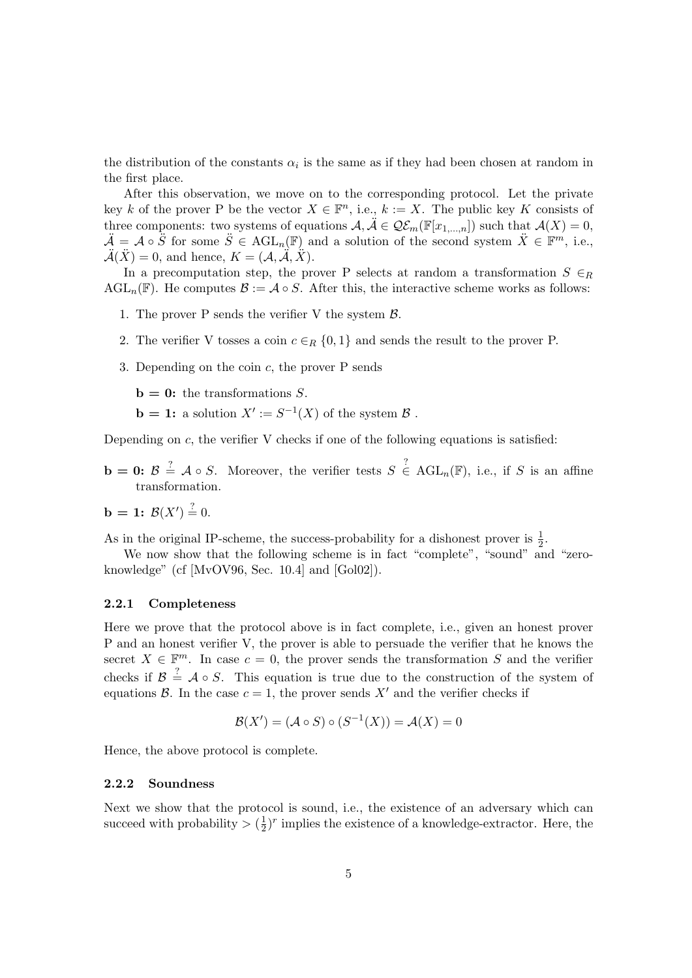the distribution of the constants  $\alpha_i$  is the same as if they had been chosen at random in the first place.

After this observation, we move on to the corresponding protocol. Let the private key k of the prover P be the vector  $X \in \mathbb{F}^n$ , i.e.,  $k := X$ . The public key K consists of three components: two systems of equations  $\mathcal{A}, \tilde{\mathcal{A}} \in \mathcal{Q}\mathcal{E}_m(\mathbb{F}[x_{1,\ldots,n}])$  such that  $\mathcal{A}(X) = 0$ ,  $\ddot{\mathcal{A}} = \mathcal{A} \circ \ddot{S}$  for some  $\ddot{S} \in \text{AGL}_n(\mathbb{F})$  and a solution of the second system  $\ddot{X} \in \mathbb{F}^m$ , i.e.,  $\mathcal{A}(\tilde{X}) = 0$ , and hence,  $K = (\mathcal{A}, \tilde{\mathcal{A}}, \tilde{X})$ .

In a precomputation step, the prover P selects at random a transformation  $S \in_R$ AGL<sub>n</sub>(F). He computes  $\mathcal{B} := \mathcal{A} \circ S$ . After this, the interactive scheme works as follows:

- 1. The prover P sends the verifier V the system  $\beta$ .
- 2. The verifier V tosses a coin  $c \in_R \{0,1\}$  and sends the result to the prover P.
- 3. Depending on the coin c, the prover P sends

 **the transformations S.** 

**b** = 1: a solution  $X' := S^{-1}(X)$  of the system  $\mathcal{B}$ .

Depending on  $c$ , the verifier V checks if one of the following equations is satisfied:

**b** = **0:**  $\mathcal{B} \stackrel{?}{=} \mathcal{A} \circ S$ . Moreover, the verifier tests  $S \stackrel{?}{\in} \text{AGL}_n(\mathbb{F})$ , i.e., if S is an affine transformation.

$$
b = 1: \mathcal{B}(X') = 0.
$$

As in the original IP-scheme, the success-probability for a dishonest prover is  $\frac{1}{2}$ .

We now show that the following scheme is in fact "complete", "sound" and "zeroknowledge" (cf [MvOV96, Sec. 10.4] and [Gol02]).

## 2.2.1 Completeness

Here we prove that the protocol above is in fact complete, i.e., given an honest prover P and an honest verifier V, the prover is able to persuade the verifier that he knows the secret  $X \in \mathbb{F}^m$ . In case  $c = 0$ , the prover sends the transformation S and the verifier checks if  $\mathcal{B} \stackrel{?}{=} \mathcal{A} \circ S$ . This equation is true due to the construction of the system of equations  $\mathcal{B}$ . In the case  $c = 1$ , the prover sends  $X'$  and the verifier checks if

$$
\mathcal{B}(X') = (\mathcal{A} \circ S) \circ (S^{-1}(X)) = \mathcal{A}(X) = 0
$$

Hence, the above protocol is complete.

#### 2.2.2 Soundness

Next we show that the protocol is sound, i.e., the existence of an adversary which can succeed with probability  $> (\frac{1}{2})$  $\frac{1}{2}$ <sup>r</sup> implies the existence of a knowledge-extractor. Here, the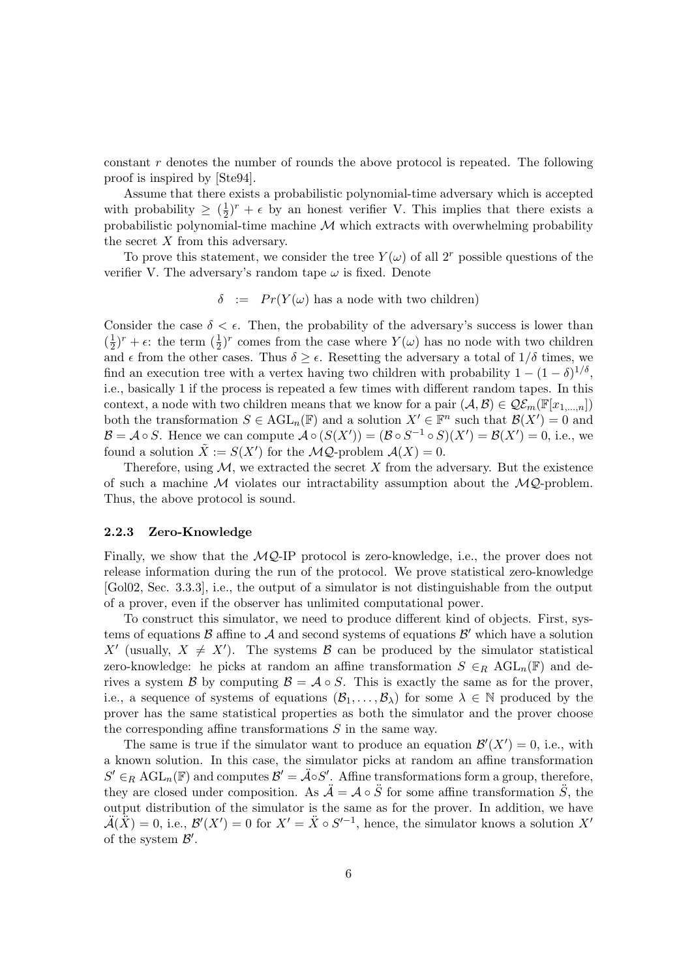constant r denotes the number of rounds the above protocol is repeated. The following proof is inspired by [Ste94].

Assume that there exists a probabilistic polynomial-time adversary which is accepted with probability  $\geq (\frac{1}{2})$  $\frac{1}{2}$ )<sup>r</sup> +  $\epsilon$  by an honest verifier V. This implies that there exists a probabilistic polynomial-time machine  $M$  which extracts with overwhelming probability the secret  $X$  from this adversary.

To prove this statement, we consider the tree  $Y(\omega)$  of all  $2^r$  possible questions of the verifier V. The adversary's random tape  $\omega$  is fixed. Denote

$$
\delta := Pr(Y(\omega) \text{ has a node with two children})
$$

Consider the case  $\delta < \epsilon$ . Then, the probability of the adversary's success is lower than  $\left(\frac{1}{2}\right)$  $(\frac{1}{2})^r + \epsilon$ : the term  $(\frac{1}{2})^r$  comes from the case where  $Y(\omega)$  has no node with two children and  $\epsilon$  from the other cases. Thus  $\delta \geq \epsilon$ . Resetting the adversary a total of  $1/\delta$  times, we find an execution tree with a vertex having two children with probability  $1 - (1 - \delta)^{1/\delta}$ , i.e., basically 1 if the process is repeated a few times with different random tapes. In this context, a node with two children means that we know for a pair  $(A, B) \in \mathcal{Q}\mathcal{E}_m(\mathbb{F}[x_{1,\ldots,n}])$ both the transformation  $S \in \text{AGL}_n(\mathbb{F})$  and a solution  $X' \in \mathbb{F}^n$  such that  $\mathcal{B}(X') = 0$  and  $\mathcal{B} = \mathcal{A} \circ S$ . Hence we can compute  $\mathcal{A} \circ (S(X')) = (\mathcal{B} \circ S^{-1} \circ S)(X') = \mathcal{B}(X') = 0$ , i.e., we found a solution  $\tilde{X} := S(X')$  for the  $\mathcal{MQ}$ -problem  $\mathcal{A}(X) = 0$ .

Therefore, using  $M$ , we extracted the secret  $X$  from the adversary. But the existence of such a machine  $M$  violates our intractability assumption about the  $MQ$ -problem. Thus, the above protocol is sound.

## 2.2.3 Zero-Knowledge

Finally, we show that the  $MQ$ -IP protocol is zero-knowledge, i.e., the prover does not release information during the run of the protocol. We prove statistical zero-knowledge [Gol02, Sec. 3.3.3], i.e., the output of a simulator is not distinguishable from the output of a prover, even if the observer has unlimited computational power.

To construct this simulator, we need to produce different kind of objects. First, systems of equations  $\mathcal B$  affine to  $\mathcal A$  and second systems of equations  $\mathcal B'$  which have a solution X' (usually,  $X \neq X'$ ). The systems B can be produced by the simulator statistical zero-knowledge: he picks at random an affine transformation  $S \in_R \text{AGL}_n(\mathbb{F})$  and derives a system B by computing  $\mathcal{B} = \mathcal{A} \circ S$ . This is exactly the same as for the prover, i.e., a sequence of systems of equations  $(\mathcal{B}_1, \ldots, \mathcal{B}_\lambda)$  for some  $\lambda \in \mathbb{N}$  produced by the prover has the same statistical properties as both the simulator and the prover choose the corresponding affine transformations  $S$  in the same way.

The same is true if the simulator want to produce an equation  $\mathcal{B}'(X') = 0$ , i.e., with a known solution. In this case, the simulator picks at random an affine transformation  $S' \in_R \text{AGL}_n(\mathbb{F})$  and computes  $\mathcal{B}' = \mathcal{A} \circ S'$ . Affine transformations form a group, therefore, they are closed under composition. As  $\ddot{\mathcal{A}} = \mathcal{A} \circ \ddot{\mathcal{S}}$  for some affine transformation  $\ddot{\mathcal{S}}$ , the output distribution of the simulator is the same as for the prover. In addition, we have  $\ddot{A}(\dot{\vec{X}})=0$ , i.e.,  $\mathcal{B}'(X')=0$  for  $X'=\ddot{X}\circ S'^{-1}$ , hence, the simulator knows a solution  $X'$ of the system  $\mathcal{B}'$ .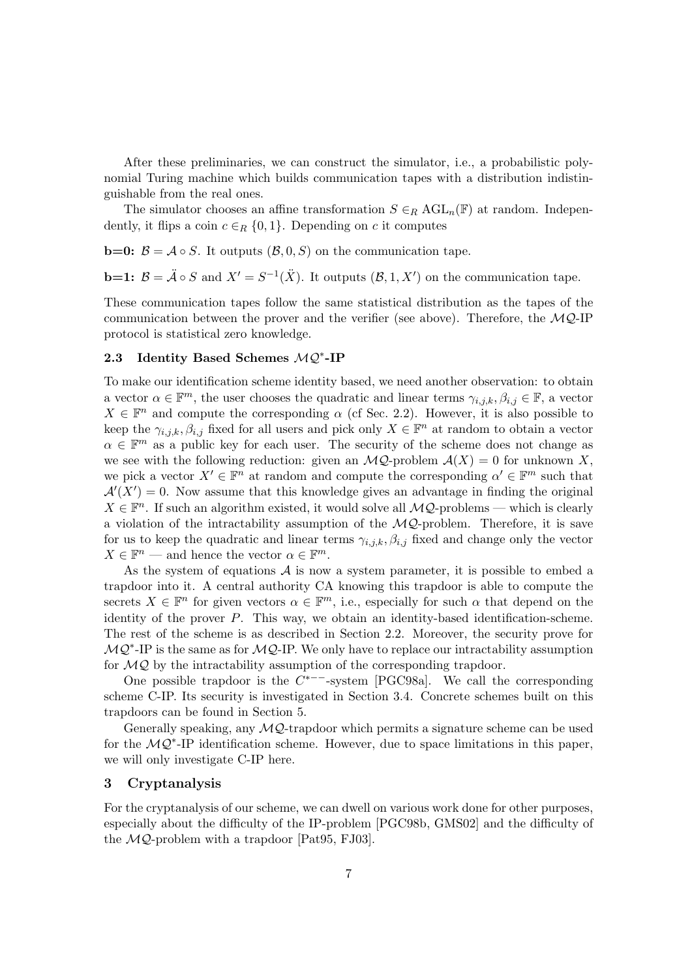After these preliminaries, we can construct the simulator, i.e., a probabilistic polynomial Turing machine which builds communication tapes with a distribution indistinguishable from the real ones.

The simulator chooses an affine transformation  $S \in_R \text{AGL}_n(\mathbb{F})$  at random. Independently, it flips a coin  $c \in_R \{0,1\}$ . Depending on c it computes

**b**=0:  $\mathcal{B} = \mathcal{A} \circ S$ . It outputs  $(\mathcal{B}, 0, S)$  on the communication tape.

**b**=1:  $\mathcal{B} = \mathcal{A} \circ S$  and  $X' = S^{-1}(\mathcal{X})$ . It outputs  $(\mathcal{B}, 1, X')$  on the communication tape.

These communication tapes follow the same statistical distribution as the tapes of the communication between the prover and the verifier (see above). Therefore, the  $MQ$ -IP protocol is statistical zero knowledge.

# 2.3 Identity Based Schemes MQ<sup>\*</sup>-IP

To make our identification scheme identity based, we need another observation: to obtain a vector  $\alpha \in \mathbb{F}^m$ , the user chooses the quadratic and linear terms  $\gamma_{i,j,k}, \beta_{i,j} \in \mathbb{F}$ , a vector  $X \in \mathbb{F}^n$  and compute the corresponding  $\alpha$  (cf Sec. 2.2). However, it is also possible to keep the  $\gamma_{i,j,k}, \beta_{i,j}$  fixed for all users and pick only  $X \in \mathbb{F}^n$  at random to obtain a vector  $\alpha \in \mathbb{F}^m$  as a public key for each user. The security of the scheme does not change as we see with the following reduction: given an  $\mathcal{MQ}$ -problem  $\mathcal{A}(X) = 0$  for unknown X, we pick a vector  $X' \in \mathbb{F}^n$  at random and compute the corresponding  $\alpha' \in \mathbb{F}^m$  such that  $\mathcal{A}'(X') = 0$ . Now assume that this knowledge gives an advantage in finding the original  $X \in \mathbb{F}^n$ . If such an algorithm existed, it would solve all  $\mathcal{MQ}$ -problems — which is clearly a violation of the intractability assumption of the  $\mathcal{MQ}$ -problem. Therefore, it is save for us to keep the quadratic and linear terms  $\gamma_{i,j,k}$ ,  $\beta_{i,j}$  fixed and change only the vector  $X \in \mathbb{F}^n$  — and hence the vector  $\alpha \in \mathbb{F}^m$ .

As the system of equations  $A$  is now a system parameter, it is possible to embed a trapdoor into it. A central authority CA knowing this trapdoor is able to compute the secrets  $X \in \mathbb{F}^n$  for given vectors  $\alpha \in \mathbb{F}^m$ , i.e., especially for such  $\alpha$  that depend on the identity of the prover  $P$ . This way, we obtain an identity-based identification-scheme. The rest of the scheme is as described in Section 2.2. Moreover, the security prove for  $MQ<sup>*</sup> - IP$  is the same as for  $MQ$ -IP. We only have to replace our intractability assumption for  $MQ$  by the intractability assumption of the corresponding trapdoor.

One possible trapdoor is the  $C^{*--}$ -system [PGC98a]. We call the corresponding scheme C-IP. Its security is investigated in Section 3.4. Concrete schemes built on this trapdoors can be found in Section 5.

Generally speaking, any  $MQ$ -trapdoor which permits a signature scheme can be used for the  $MQ^*$ -IP identification scheme. However, due to space limitations in this paper, we will only investigate C-IP here.

## 3 Cryptanalysis

For the cryptanalysis of our scheme, we can dwell on various work done for other purposes, especially about the difficulty of the IP-problem [PGC98b, GMS02] and the difficulty of the  $MQ$ -problem with a trapdoor [Pat95, FJ03].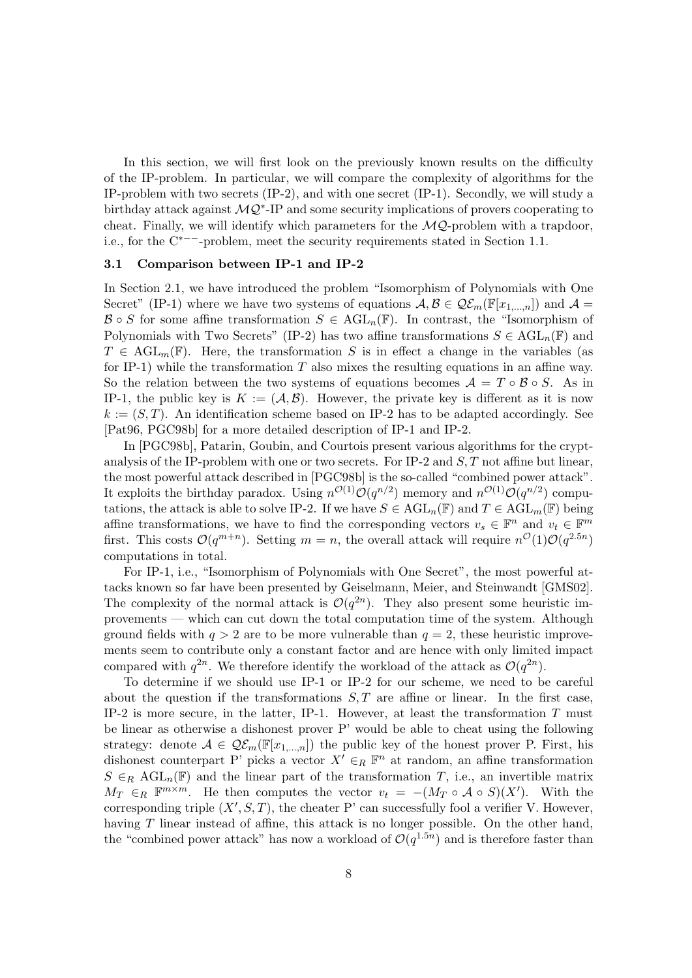In this section, we will first look on the previously known results on the difficulty of the IP-problem. In particular, we will compare the complexity of algorithms for the IP-problem with two secrets (IP-2), and with one secret (IP-1). Secondly, we will study a birthday attack against  $\mathcal{MQ}^*$ -IP and some security implications of provers cooperating to cheat. Finally, we will identify which parameters for the  $MQ$ -problem with a trapdoor, i.e., for the C∗−−-problem, meet the security requirements stated in Section 1.1.

## 3.1 Comparison between IP-1 and IP-2

In Section 2.1, we have introduced the problem "Isomorphism of Polynomials with One Secret" (IP-1) where we have two systems of equations  $\mathcal{A}, \mathcal{B} \in \mathcal{Q}\mathcal{E}_m(\mathbb{F}[x_{1,\ldots,n}])$  and  $\mathcal{A} =$  $\mathcal{B} \circ S$  for some affine transformation  $S \in \text{AGL}_n(\mathbb{F})$ . In contrast, the "Isomorphism of Polynomials with Two Secrets" (IP-2) has two affine transformations  $S \in \text{AGL}_n(\mathbb{F})$  and  $T \in \text{AGL}_{m}(\mathbb{F})$ . Here, the transformation S is in effect a change in the variables (as for IP-1) while the transformation  $T$  also mixes the resulting equations in an affine way. So the relation between the two systems of equations becomes  $\mathcal{A} = T \circ \mathcal{B} \circ S$ . As in IP-1, the public key is  $K := (\mathcal{A}, \mathcal{B})$ . However, the private key is different as it is now  $k := (S, T)$ . An identification scheme based on IP-2 has to be adapted accordingly. See [Pat96, PGC98b] for a more detailed description of IP-1 and IP-2.

In [PGC98b], Patarin, Goubin, and Courtois present various algorithms for the cryptanalysis of the IP-problem with one or two secrets. For IP-2 and  $S$ , T not affine but linear, the most powerful attack described in [PGC98b] is the so-called "combined power attack". It exploits the birthday paradox. Using  $n^{\mathcal{O}(1)}\mathcal{O}(q^{n/2})$  memory and  $n^{\mathcal{O}(1)}\mathcal{O}(q^{n/2})$  computations, the attack is able to solve IP-2. If we have  $S \in \text{AGL}_n(\mathbb{F})$  and  $T \in \text{AGL}_m(\mathbb{F})$  being affine transformations, we have to find the corresponding vectors  $v_s \in \mathbb{F}^n$  and  $v_t \in \mathbb{F}^m$ first. This costs  $\mathcal{O}(q^{m+n})$ . Setting  $m = n$ , the overall attack will require  $n^{\mathcal{O}}(1)\mathcal{O}(q^{2.5n})$ computations in total.

For IP-1, i.e., "Isomorphism of Polynomials with One Secret", the most powerful attacks known so far have been presented by Geiselmann, Meier, and Steinwandt [GMS02]. The complexity of the normal attack is  $\mathcal{O}(q^{2n})$ . They also present some heuristic improvements — which can cut down the total computation time of the system. Although ground fields with  $q > 2$  are to be more vulnerable than  $q = 2$ , these heuristic improvements seem to contribute only a constant factor and are hence with only limited impact compared with  $q^{2n}$ . We therefore identify the workload of the attack as  $\mathcal{O}(q^{2n})$ .

To determine if we should use IP-1 or IP-2 for our scheme, we need to be careful about the question if the transformations  $S, T$  are affine or linear. In the first case, IP-2 is more secure, in the latter, IP-1. However, at least the transformation  $T$  must be linear as otherwise a dishonest prover P' would be able to cheat using the following strategy: denote  $A \in \mathcal{Q}\mathcal{E}_m(\mathbb{F}[x_{1,...,n}])$  the public key of the honest prover P. First, his dishonest counterpart P' picks a vector  $X' \in_R \mathbb{F}^n$  at random, an affine transformation  $S \in_R \text{AGL}_n(\mathbb{F})$  and the linear part of the transformation T, i.e., an invertible matrix  $M_T \in_R \mathbb{F}^{m \times m}$ . He then computes the vector  $v_t = -(M_T \circ A \circ S)(X')$ . With the corresponding triple  $(X', S, T)$ , the cheater P' can successfully fool a verifier V. However, having  $T$  linear instead of affine, this attack is no longer possible. On the other hand, the "combined power attack" has now a workload of  $\mathcal{O}(q^{1.5n})$  and is therefore faster than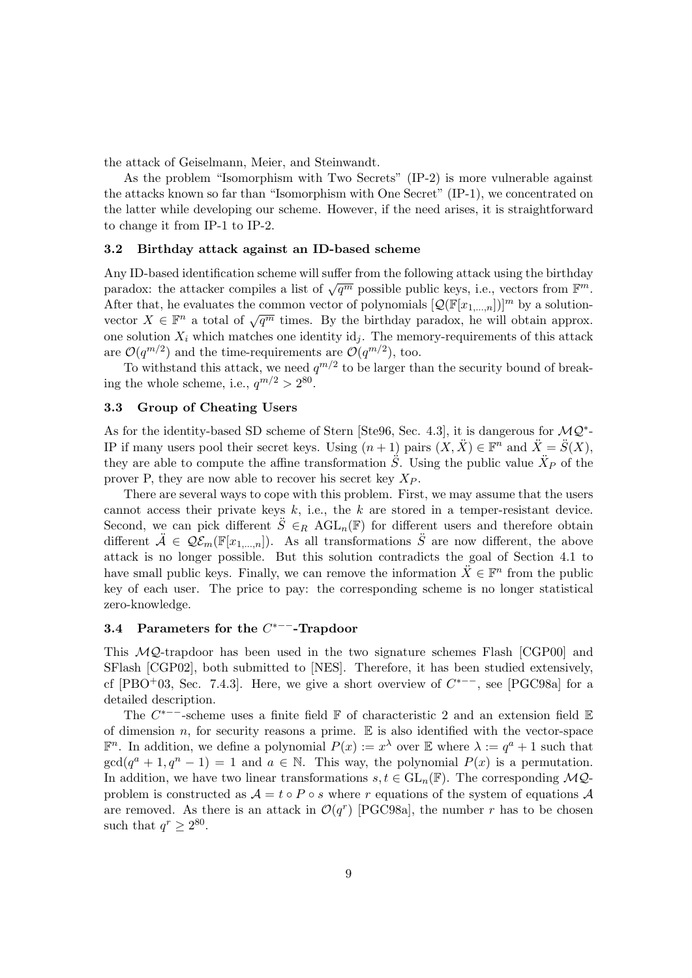the attack of Geiselmann, Meier, and Steinwandt.

As the problem "Isomorphism with Two Secrets" (IP-2) is more vulnerable against the attacks known so far than "Isomorphism with One Secret" (IP-1), we concentrated on the latter while developing our scheme. However, if the need arises, it is straightforward to change it from IP-1 to IP-2.

#### 3.2 Birthday attack against an ID-based scheme

Any ID-based identification scheme will suffer from the following attack using the birthday Any ID-based identification scheme will suffer from the following attack using the bit tiday paradox: the attacker compiles a list of  $\sqrt{q^m}$  possible public keys, i.e., vectors from  $\mathbb{F}^m$ . After that, he evaluates the common vector of polynomials  $[Q(\mathbb{F}[x_{1,...,n}])]^{m}$  by a solutionvector  $X \in \mathbb{F}^n$  a total of  $\sqrt{q^m}$  times. By the birthday paradox, he will obtain approx. one solution  $X_i$  which matches one identity id<sub>i</sub>. The memory-requirements of this attack are  $\mathcal{O}(q^{m/2})$  and the time-requirements are  $\mathcal{O}(q^{m/2})$ , too.

To withstand this attack, we need  $q^{m/2}$  to be larger than the security bound of breaking the whole scheme, i.e.,  $q^{m/2} > 2^{80}$ .

## 3.3 Group of Cheating Users

As for the identity-based SD scheme of Stern [Ste96, Sec. 4.3], it is dangerous for  $\mathcal{MQ}^*$ -IP if many users pool their secret keys. Using  $(n+1)$  pairs  $(X, \ddot{X}) \in \mathbb{F}^n$  and  $\ddot{X} = \ddot{S}(X)$ , they are able to compute the affine transformation  $\ddot{S}$ . Using the public value  $\ddot{X}_P$  of the prover P, they are now able to recover his secret key  $X_P$ .

There are several ways to cope with this problem. First, we may assume that the users cannot access their private keys  $k$ , i.e., the  $k$  are stored in a temper-resistant device. Second, we can pick different  $\ddot{S} \in_R \text{AGL}_n(\mathbb{F})$  for different users and therefore obtain different  $\tilde{\mathcal{A}} \in \mathcal{Q}\mathcal{E}_m(\mathbb{F}[x_{1,\ldots,n}]).$  As all transformations  $\tilde{S}$  are now different, the above attack is no longer possible. But this solution contradicts the goal of Section 4.1 to have small public keys. Finally, we can remove the information  $\ddot{X} \in \mathbb{F}^n$  from the public key of each user. The price to pay: the corresponding scheme is no longer statistical zero-knowledge.

## 3.4 Parameters for the  $C^{*--}$ -Trapdoor

This MQ-trapdoor has been used in the two signature schemes Flash [CGP00] and SFlash [CGP02], both submitted to [NES]. Therefore, it has been studied extensively, cf [PBO<sup>+</sup>03, Sec. 7.4.3]. Here, we give a short overview of  $C^{*--}$ , see [PGC98a] for a detailed description.

The  $C^{*--}$ -scheme uses a finite field  $\mathbb F$  of characteristic 2 and an extension field  $\mathbb E$ of dimension n, for security reasons a prime.  $E$  is also identified with the vector-space  $\mathbb{F}^n$ . In addition, we define a polynomial  $P(x) := x^{\lambda}$  over  $\mathbb{E}$  where  $\lambda := q^a + 1$  such that  $gcd(q^{a} + 1, q^{n} - 1) = 1$  and  $a \in \mathbb{N}$ . This way, the polynomial  $P(x)$  is a permutation. In addition, we have two linear transformations  $s, t \in GL_n(\mathbb{F})$ . The corresponding  $\mathcal{MQ}$ problem is constructed as  $A = t \circ P \circ s$  where r equations of the system of equations A are removed. As there is an attack in  $\mathcal{O}(q^r)$  [PGC98a], the number r has to be chosen such that  $q^r \geq 2^{80}$ .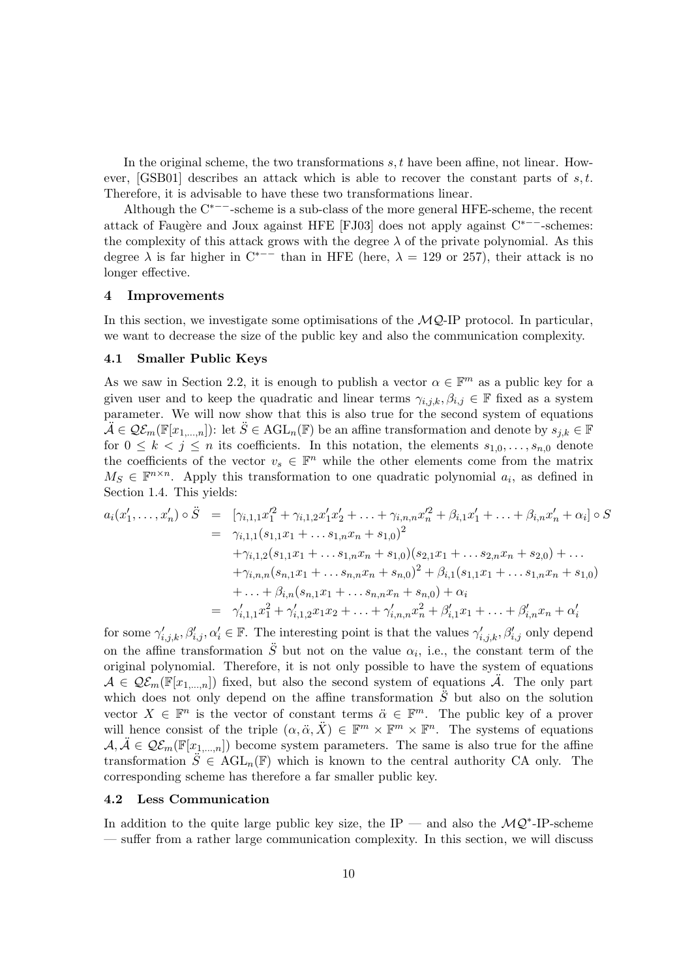In the original scheme, the two transformations s, t have been affine, not linear. However, [GSB01] describes an attack which is able to recover the constant parts of  $s, t$ . Therefore, it is advisable to have these two transformations linear.

Although the C∗−−-scheme is a sub-class of the more general HFE-scheme, the recent attack of Faugère and Joux against HFE [FJ03] does not apply against C<sup>∗−−</sup>-schemes: the complexity of this attack grows with the degree  $\lambda$  of the private polynomial. As this degree  $\lambda$  is far higher in  $C^{*--}$  than in HFE (here,  $\lambda = 129$  or 257), their attack is no longer effective.

#### 4 Improvements

In this section, we investigate some optimisations of the  $MQ$ -IP protocol. In particular, we want to decrease the size of the public key and also the communication complexity.

#### 4.1 Smaller Public Keys

As we saw in Section 2.2, it is enough to publish a vector  $\alpha \in \mathbb{F}^m$  as a public key for a given user and to keep the quadratic and linear terms  $\gamma_{i,j,k}, \beta_{i,j} \in \mathbb{F}$  fixed as a system parameter. We will now show that this is also true for the second system of equations  $\tilde{\mathcal{A}} \in \mathcal{Q}\mathcal{E}_m(\mathbb{F}[x_{1,\ldots,n}])$ : let  $\tilde{S} \in \text{AGL}_n(\mathbb{F})$  be an affine transformation and denote by  $s_{j,k} \in \mathbb{F}$ for  $0 \leq k \leq j \leq n$  its coefficients. In this notation, the elements  $s_{1,0}, \ldots, s_{n,0}$  denote the coefficients of the vector  $v_s \in \mathbb{F}^n$  while the other elements come from the matrix  $M_S \in \mathbb{F}^{n \times n}$ . Apply this transformation to one quadratic polynomial  $a_i$ , as defined in Section 1.4. This yields:

$$
a_i(x'_1, \ldots, x'_n) \circ \ddot{S} = [\gamma_{i,1,1}x'_1 + \gamma_{i,1,2}x'_1x'_2 + \ldots + \gamma_{i,n,n}x'_n + \beta_{i,1}x'_1 + \ldots + \beta_{i,n}x'_n + \alpha_i] \circ S
$$
  
\n
$$
= \gamma_{i,1,1}(s_{1,1}x_1 + \ldots s_{1,n}x_n + s_{1,0})^2
$$
  
\n
$$
+ \gamma_{i,1,2}(s_{1,1}x_1 + \ldots s_{1,n}x_n + s_{1,0})(s_{2,1}x_1 + \ldots s_{2,n}x_n + s_{2,0}) + \ldots
$$
  
\n
$$
+ \gamma_{i,n,n}(s_{n,1}x_1 + \ldots s_{n,n}x_n + s_{n,0})^2 + \beta_{i,1}(s_{1,1}x_1 + \ldots s_{1,n}x_n + s_{1,0})
$$
  
\n
$$
+ \ldots + \beta_{i,n}(s_{n,1}x_1 + \ldots s_{n,n}x_n + s_{n,0}) + \alpha_i
$$
  
\n
$$
= \gamma'_{i,1,1}x_1^2 + \gamma'_{i,1,2}x_1x_2 + \ldots + \gamma'_{i,n,n}x_n^2 + \beta'_{i,1}x_1 + \ldots + \beta'_{i,n}x_n + \alpha'_i
$$

for some  $\gamma'_{i,j,k}, \beta'_{i,j}, \alpha'_i \in \mathbb{F}$ . The interesting point is that the values  $\gamma'_{i,j,k}, \beta'_{i,j}$  only depend on the affine transformation  $\ddot{S}$  but not on the value  $\alpha_i$ , i.e., the constant term of the original polynomial. Therefore, it is not only possible to have the system of equations  $A \in \mathcal{QE}_m(\mathbb{F}[x_{1,\ldots,n}])$  fixed, but also the second system of equations  $\ddot{\mathcal{A}}$ . The only part which does not only depend on the affine transformation  $\ddot{S}$  but also on the solution vector  $X \in \mathbb{F}^n$  is the vector of constant terms  $\ddot{\alpha} \in \mathbb{F}^m$ . The public key of a prover will hence consist of the triple  $(\alpha, \ddot{\alpha}, \ddot{X}) \in \mathbb{F}^m \times \mathbb{F}^m \times \mathbb{F}^n$ . The systems of equations  $A, \tilde{A} \in \mathcal{QE}_m(\mathbb{F}[x_{1,...,n}])$  become system parameters. The same is also true for the affine transformation  $\ddot{S} \in \text{AGL}_n(\mathbb{F})$  which is known to the central authority CA only. The corresponding scheme has therefore a far smaller public key.

#### 4.2 Less Communication

In addition to the quite large public key size, the IP — and also the  $\mathcal{MQ}^*$ -IP-scheme — suffer from a rather large communication complexity. In this section, we will discuss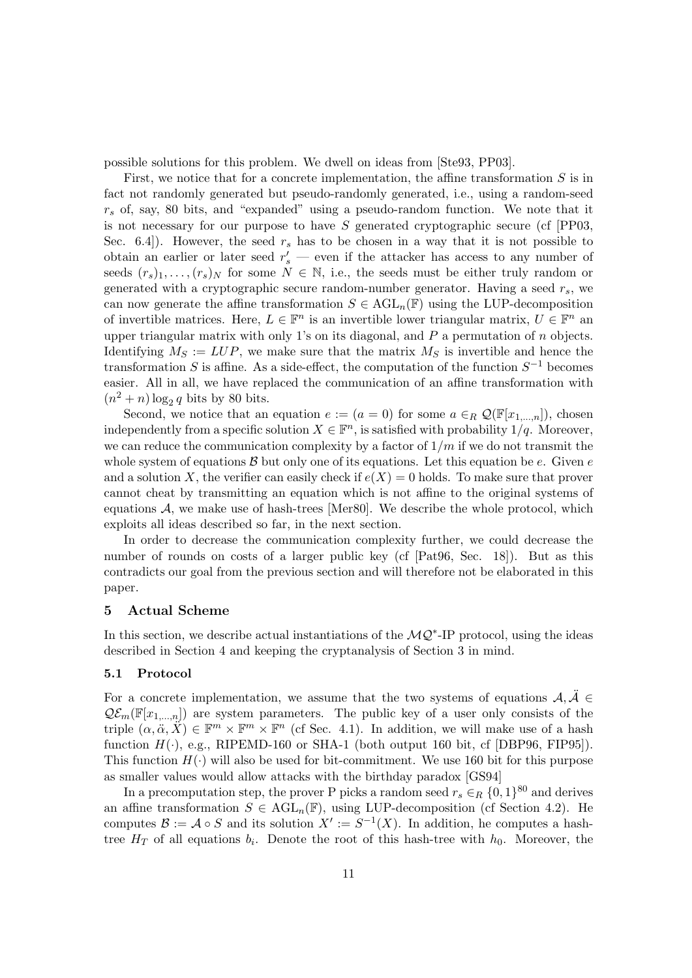possible solutions for this problem. We dwell on ideas from [Ste93, PP03].

First, we notice that for a concrete implementation, the affine transformation  $S$  is in fact not randomly generated but pseudo-randomly generated, i.e., using a random-seed  $r<sub>s</sub>$  of, say, 80 bits, and "expanded" using a pseudo-random function. We note that it is not necessary for our purpose to have  $S$  generated cryptographic secure (cf [PP03, Sec. 6.4.). However, the seed  $r_s$  has to be chosen in a way that it is not possible to obtain an earlier or later seed  $r_s'$  — even if the attacker has access to any number of seeds  $(r_s)_1, \ldots, (r_s)_N$  for some  $N \in \mathbb{N}$ , i.e., the seeds must be either truly random or generated with a cryptographic secure random-number generator. Having a seed  $r_s$ , we can now generate the affine transformation  $S \in \text{AGL}_n(\mathbb{F})$  using the LUP-decomposition of invertible matrices. Here,  $L \in \mathbb{F}^n$  is an invertible lower triangular matrix,  $U \in \mathbb{F}^n$  and upper triangular matrix with only 1's on its diagonal, and  $P$  a permutation of  $n$  objects. Identifying  $M_S := LUP$ , we make sure that the matrix  $M_S$  is invertible and hence the transformation S is affine. As a side-effect, the computation of the function  $S^{-1}$  becomes easier. All in all, we have replaced the communication of an affine transformation with  $(n^2 + n) \log_2 q$  bits by 80 bits.

Second, we notice that an equation  $e := (a = 0)$  for some  $a \in_R \mathcal{Q}(\mathbb{F}[x_{1,...,n}])$ , chosen independently from a specific solution  $X \in \mathbb{F}^n$ , is satisfied with probability  $1/q$ . Moreover, we can reduce the communication complexity by a factor of  $1/m$  if we do not transmit the whole system of equations  $\beta$  but only one of its equations. Let this equation be e. Given e and a solution X, the verifier can easily check if  $e(X) = 0$  holds. To make sure that prover cannot cheat by transmitting an equation which is not affine to the original systems of equations  $A$ , we make use of hash-trees [Mer80]. We describe the whole protocol, which exploits all ideas described so far, in the next section.

In order to decrease the communication complexity further, we could decrease the number of rounds on costs of a larger public key (cf [Pat96, Sec. 18]). But as this contradicts our goal from the previous section and will therefore not be elaborated in this paper.

## 5 Actual Scheme

In this section, we describe actual instantiations of the  $MQ^*$ -IP protocol, using the ideas described in Section 4 and keeping the cryptanalysis of Section 3 in mind.

#### 5.1 Protocol

For a concrete implementation, we assume that the two systems of equations  $A, \tilde{A} \in$  $\mathcal{Q}\mathcal{E}_m(\mathbb{F}[x_{1,...,n}])$  are system parameters. The public key of a user only consists of the triple  $(\alpha, \ddot{\alpha}, \ddot{X}) \in \mathbb{F}^m \times \mathbb{F}^m \times \mathbb{F}^n$  (cf Sec. 4.1). In addition, we will make use of a hash function  $H(\cdot)$ , e.g., RIPEMD-160 or SHA-1 (both output 160 bit, cf [DBP96, FIP95]). This function  $H(\cdot)$  will also be used for bit-commitment. We use 160 bit for this purpose as smaller values would allow attacks with the birthday paradox [GS94]

In a precomputation step, the prover P picks a random seed  $r_s \in_R \{0,1\}^{80}$  and derives an affine transformation  $S \in \text{AGL}_n(\mathbb{F})$ , using LUP-decomposition (cf Section 4.2). He computes  $\mathcal{B} := \mathcal{A} \circ S$  and its solution  $X' := S^{-1}(X)$ . In addition, he computes a hashtree  $H_T$  of all equations  $b_i$ . Denote the root of this hash-tree with  $h_0$ . Moreover, the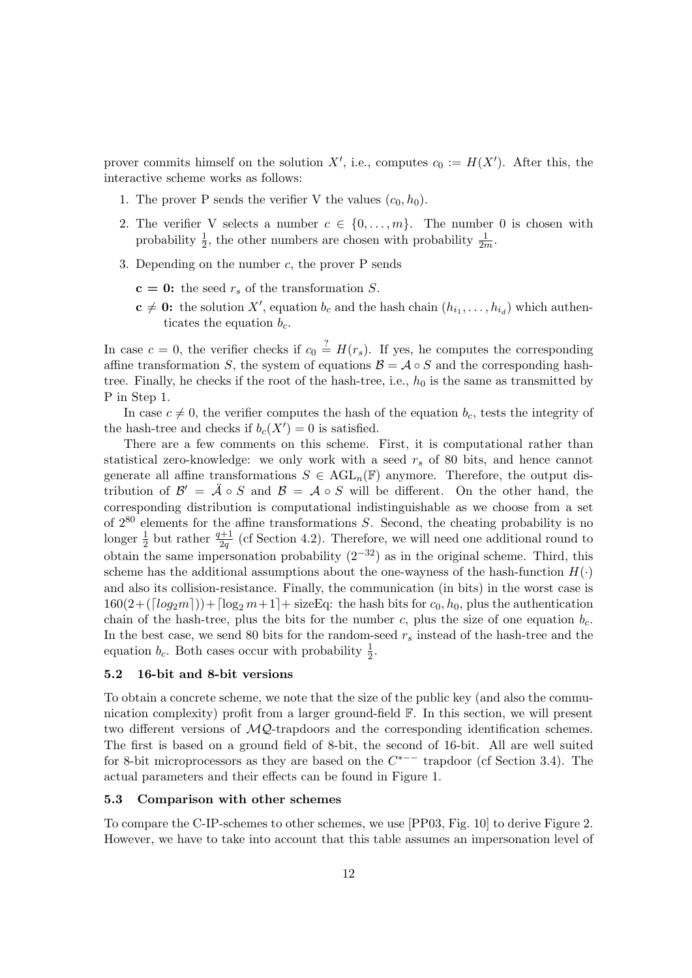prover commits himself on the solution  $X'$ , i.e., computes  $c_0 := H(X')$ . After this, the interactive scheme works as follows:

- 1. The prover P sends the verifier V the values  $(c_0, h_0)$ .
- 2. The verifier V selects a number  $c \in \{0, \ldots, m\}$ . The number 0 is chosen with probability  $\frac{1}{2}$ , the other numbers are chosen with probability  $\frac{1}{2m}$ .
- 3. Depending on the number  $c$ , the prover P sends
	- $c = 0$ : the seed  $r_s$  of the transformation S.
	- $\mathbf{c} \neq \mathbf{0}$ : the solution X', equation  $b_c$  and the hash chain  $(h_{i_1}, \ldots, h_{i_d})$  which authenticates the equation  $b_c$ .

In case  $c = 0$ , the verifier checks if  $c_0 \stackrel{?}{=} H(r_s)$ . If yes, he computes the corresponding affine transformation S, the system of equations  $\mathcal{B} = \mathcal{A} \circ S$  and the corresponding hashtree. Finally, he checks if the root of the hash-tree, i.e.,  $h_0$  is the same as transmitted by P in Step 1.

In case  $c \neq 0$ , the verifier computes the hash of the equation  $b_c$ , tests the integrity of the hash-tree and checks if  $b_c(X') = 0$  is satisfied.

There are a few comments on this scheme. First, it is computational rather than statistical zero-knowledge: we only work with a seed  $r<sub>s</sub>$  of 80 bits, and hence cannot generate all affine transformations  $S \in \text{AGL}_n(\mathbb{F})$  anymore. Therefore, the output distribution of  $\mathcal{B}' = \mathcal{A} \circ S$  and  $\mathcal{B} = \mathcal{A} \circ S$  will be different. On the other hand, the corresponding distribution is computational indistinguishable as we choose from a set of  $2^{80}$  elements for the affine transformations S. Second, the cheating probability is no longer  $\frac{1}{2}$  but rather  $\frac{q+1}{2q}$  (cf Section 4.2). Therefore, we will need one additional round to obtain the same impersonation probability  $(2^{-32})$  as in the original scheme. Third, this scheme has the additional assumptions about the one-wayness of the hash-function  $H(.)$ and also its collision-resistance. Finally, the communication (in bits) in the worst case is  $160(2+([log<sub>2</sub>m]))+[log<sub>2</sub>m+1]+$  sizeEq: the hash bits for  $c_0, h_0$ , plus the authentication chain of the hash-tree, plus the bits for the number c, plus the size of one equation  $b_c$ . In the best case, we send 80 bits for the random-seed  $r_s$  instead of the hash-tree and the equation  $b_c$ . Both cases occur with probability  $\frac{1}{2}$ .

## 5.2 16-bit and 8-bit versions

To obtain a concrete scheme, we note that the size of the public key (and also the communication complexity) profit from a larger ground-field F. In this section, we will present two different versions of MQ-trapdoors and the corresponding identification schemes. The first is based on a ground field of 8-bit, the second of 16-bit. All are well suited for 8-bit microprocessors as they are based on the  $C^{*--}$  trapdoor (cf Section 3.4). The actual parameters and their effects can be found in Figure 1.

#### 5.3 Comparison with other schemes

To compare the C-IP-schemes to other schemes, we use [PP03, Fig. 10] to derive Figure 2. However, we have to take into account that this table assumes an impersonation level of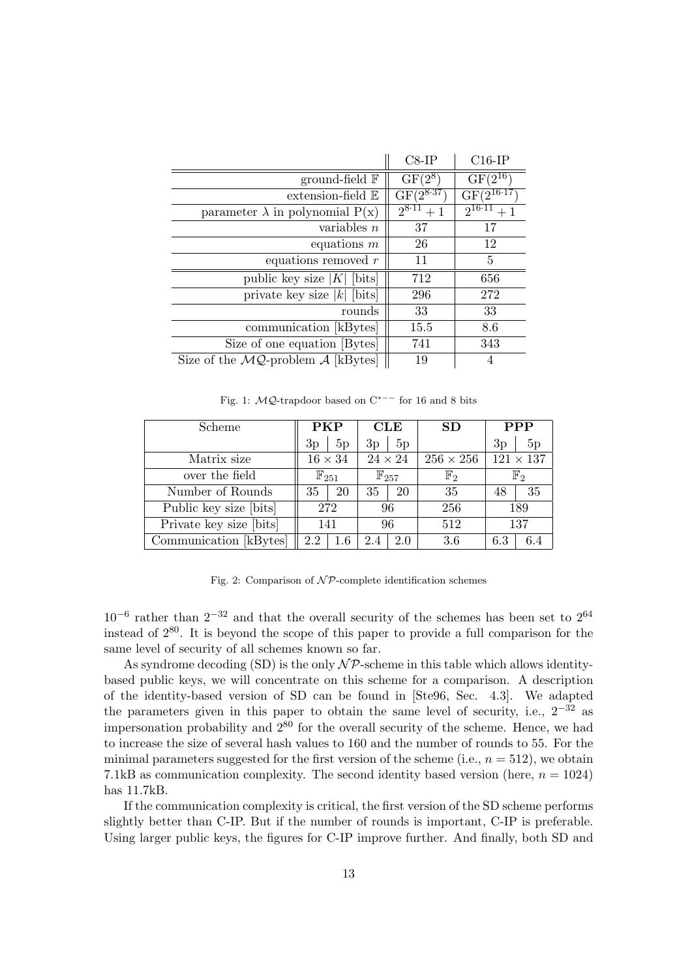|                                                           | $C8-IP$        | $C16$ -IP         |  |
|-----------------------------------------------------------|----------------|-------------------|--|
| ground-field $\mathbb F$                                  | $GF(2^8)$      | $GF(2^{16})$      |  |
| $extension-field E$                                       | $GF(2^{8.37})$ | $GF(2^{16.17})$   |  |
| parameter $\lambda$ in polynomial $P(x)$                  | $2^{8.11}+1$   | $2^{16 \cdot 11}$ |  |
| variables $n$                                             | 37             | 17                |  |
| equations $m$                                             | 26             | 12                |  |
| equations removed $r$                                     | 11             | 5                 |  |
| public key size $ K $ [bits]                              | 712            | 656               |  |
| private key size  k  [bits]                               | 296            | 272               |  |
| rounds                                                    | 33             | 33                |  |
| communication [kBytes]                                    | 15.5           | 8.6               |  |
| Size of one equation [Bytes]                              | 741            | 343               |  |
| Size of the $\mathcal{MQ}$ -problem $\mathcal A$ [kBytes] | 19             |                   |  |

Fig. 1: MQ-trapdoor based on C∗−− for 16 and 8 bits

| Scheme                  | <b>PKP</b>         |         | CLE                |     | SD               | <b>PPP</b>       |                |  |
|-------------------------|--------------------|---------|--------------------|-----|------------------|------------------|----------------|--|
|                         | 3p                 | 5p      | 3p                 | 5p  |                  | 3p               | 5p             |  |
| Matrix size             | $16 \times 34$     |         | $24\times24$       |     | $256 \times 256$ | $121 \times 137$ |                |  |
| over the field          | $\mathbb{F}_{251}$ |         | $\mathbb{F}_{257}$ |     | $\mathbb{F}_2$   |                  | $\mathbb{F}_2$ |  |
| Number of Rounds        | 35                 | 20      | $35^{\circ}$       | 20  | 35               | 48               | 35             |  |
| Public key size [bits]  | 272                |         | 96                 |     | 256              | 189              |                |  |
| Private key size [bits] | 141                |         | 96                 |     | 512              | 137              |                |  |
| Communication [kBytes]  | 2.2                | $1.6\,$ | 2.4                | 2.0 | 3.6              | 6.3              | 64             |  |

Fig. 2: Comparison of  $\mathcal{NP}$ -complete identification schemes

 $10^{-6}$  rather than  $2^{-32}$  and that the overall security of the schemes has been set to  $2^{64}$ instead of 280. It is beyond the scope of this paper to provide a full comparison for the same level of security of all schemes known so far.

As syndrome decoding (SD) is the only  $\mathcal{NP}$ -scheme in this table which allows identitybased public keys, we will concentrate on this scheme for a comparison. A description of the identity-based version of SD can be found in [Ste96, Sec. 4.3]. We adapted the parameters given in this paper to obtain the same level of security, i.e.,  $2^{-32}$  as impersonation probability and  $2^{80}$  for the overall security of the scheme. Hence, we had to increase the size of several hash values to 160 and the number of rounds to 55. For the minimal parameters suggested for the first version of the scheme (i.e.,  $n = 512$ ), we obtain 7.1kB as communication complexity. The second identity based version (here,  $n = 1024$ ) has 11.7kB.

If the communication complexity is critical, the first version of the SD scheme performs slightly better than C-IP. But if the number of rounds is important, C-IP is preferable. Using larger public keys, the figures for C-IP improve further. And finally, both SD and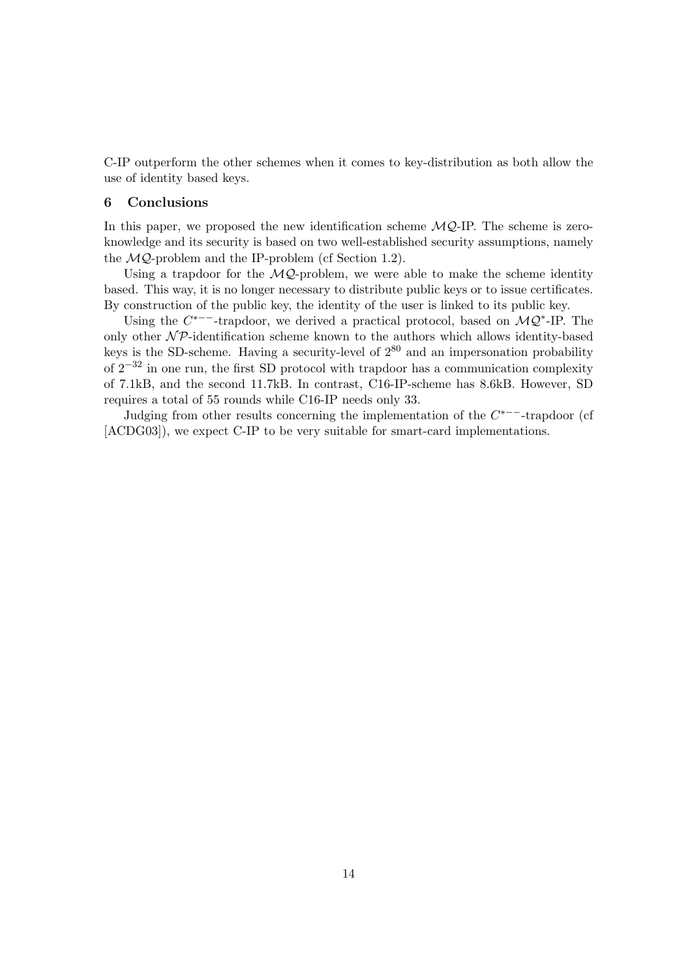C-IP outperform the other schemes when it comes to key-distribution as both allow the use of identity based keys.

#### 6 Conclusions

In this paper, we proposed the new identification scheme  $MQ$ -IP. The scheme is zeroknowledge and its security is based on two well-established security assumptions, namely the  $MQ$ -problem and the IP-problem (cf Section 1.2).

Using a trapdoor for the  $MQ$ -problem, we were able to make the scheme identity based. This way, it is no longer necessary to distribute public keys or to issue certificates. By construction of the public key, the identity of the user is linked to its public key.

Using the  $C^{*--}$ -trapdoor, we derived a practical protocol, based on  $\mathcal{MQ}^*$ -IP. The only other  $N\mathcal{P}$ -identification scheme known to the authors which allows identity-based keys is the SD-scheme. Having a security-level of  $2^{80}$  and an impersonation probability of  $2^{-32}$  in one run, the first SD protocol with trapdoor has a communication complexity of 7.1kB, and the second 11.7kB. In contrast, C16-IP-scheme has 8.6kB. However, SD requires a total of 55 rounds while C16-IP needs only 33.

Judging from other results concerning the implementation of the  $C^{*--}$ -trapdoor (cf [ACDG03]), we expect C-IP to be very suitable for smart-card implementations.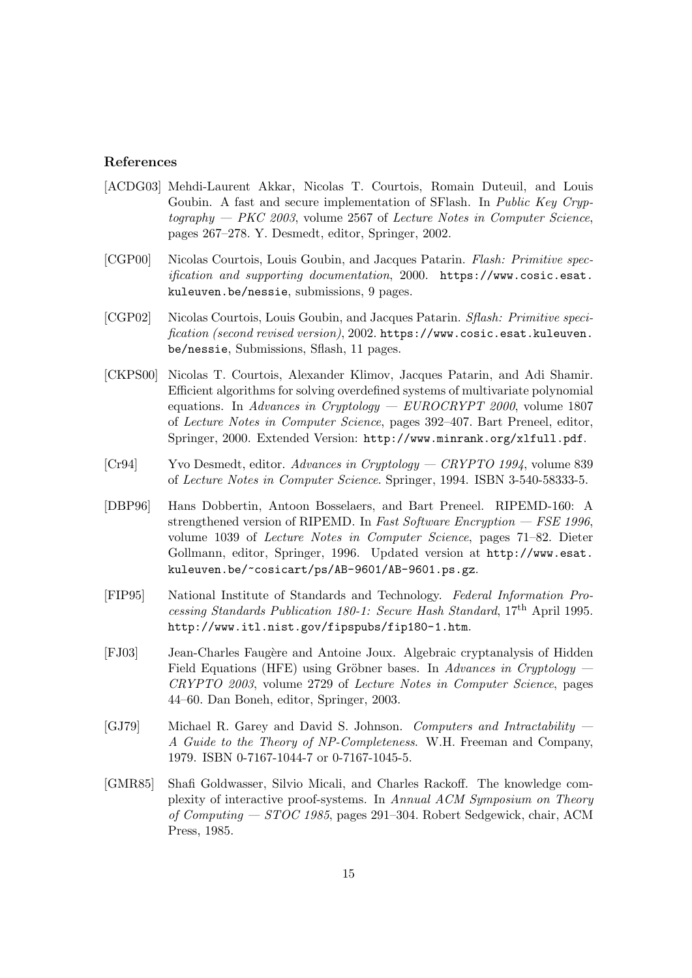## References

- [ACDG03] Mehdi-Laurent Akkar, Nicolas T. Courtois, Romain Duteuil, and Louis Goubin. A fast and secure implementation of SFlash. In Public Key Cryp $to graphy - PKC 2003$ , volume 2567 of Lecture Notes in Computer Science, pages 267–278. Y. Desmedt, editor, Springer, 2002.
- [CGP00] Nicolas Courtois, Louis Goubin, and Jacques Patarin. Flash: Primitive specification and supporting documentation, 2000. https://www.cosic.esat. kuleuven.be/nessie, submissions, 9 pages.
- [CGP02] Nicolas Courtois, Louis Goubin, and Jacques Patarin. Sflash: Primitive specification (second revised version), 2002. https://www.cosic.esat.kuleuven. be/nessie, Submissions, Sflash, 11 pages.
- [CKPS00] Nicolas T. Courtois, Alexander Klimov, Jacques Patarin, and Adi Shamir. Efficient algorithms for solving overdefined systems of multivariate polynomial equations. In Advances in Cryptology —  $EUROCRYPT$  2000, volume 1807 of Lecture Notes in Computer Science, pages 392–407. Bart Preneel, editor, Springer, 2000. Extended Version: http://www.minrank.org/xlfull.pdf.
- [Cr94] Yvo Desmedt, editor. Advances in Cryptology CRYPTO 1994, volume 839 of Lecture Notes in Computer Science. Springer, 1994. ISBN 3-540-58333-5.
- [DBP96] Hans Dobbertin, Antoon Bosselaers, and Bart Preneel. RIPEMD-160: A strengthened version of RIPEMD. In Fast Software Encryption  $-$  FSE 1996, volume 1039 of Lecture Notes in Computer Science, pages 71–82. Dieter Gollmann, editor, Springer, 1996. Updated version at http://www.esat. kuleuven.be/~cosicart/ps/AB-9601/AB-9601.ps.gz.
- [FIP95] National Institute of Standards and Technology. Federal Information Processing Standards Publication 180-1: Secure Hash Standard, 17th April 1995. http://www.itl.nist.gov/fipspubs/fip180-1.htm.
- [FJ03] Jean-Charles Faug`ere and Antoine Joux. Algebraic cryptanalysis of Hidden Field Equations (HFE) using Gröbner bases. In Advances in Cruptology  $-$ CRYPTO 2003, volume 2729 of Lecture Notes in Computer Science, pages 44–60. Dan Boneh, editor, Springer, 2003.
- [GJ79] Michael R. Garey and David S. Johnson. Computers and Intractability A Guide to the Theory of NP-Completeness. W.H. Freeman and Company, 1979. ISBN 0-7167-1044-7 or 0-7167-1045-5.
- [GMR85] Shafi Goldwasser, Silvio Micali, and Charles Rackoff. The knowledge complexity of interactive proof-systems. In Annual ACM Symposium on Theory of Computing — STOC 1985, pages 291–304. Robert Sedgewick, chair, ACM Press, 1985.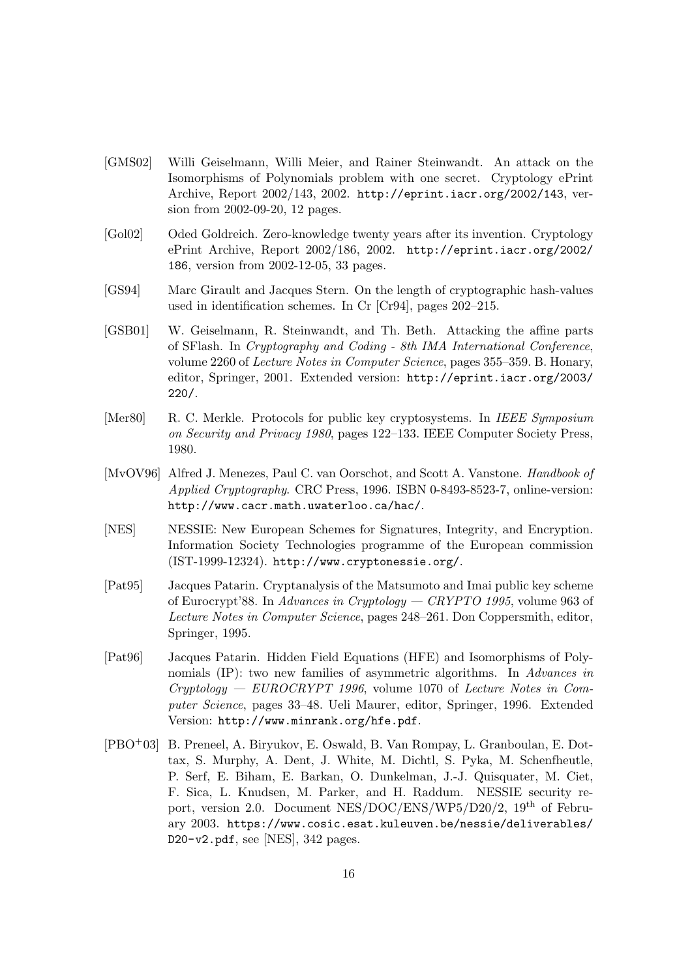- [GMS02] Willi Geiselmann, Willi Meier, and Rainer Steinwandt. An attack on the Isomorphisms of Polynomials problem with one secret. Cryptology ePrint Archive, Report 2002/143, 2002. http://eprint.iacr.org/2002/143, version from 2002-09-20, 12 pages.
- [Gol02] Oded Goldreich. Zero-knowledge twenty years after its invention. Cryptology ePrint Archive, Report 2002/186, 2002. http://eprint.iacr.org/2002/ 186, version from 2002-12-05, 33 pages.
- [GS94] Marc Girault and Jacques Stern. On the length of cryptographic hash-values used in identification schemes. In Cr [Cr94], pages 202–215.
- [GSB01] W. Geiselmann, R. Steinwandt, and Th. Beth. Attacking the affine parts of SFlash. In Cryptography and Coding - 8th IMA International Conference, volume 2260 of Lecture Notes in Computer Science, pages 355–359. B. Honary, editor, Springer, 2001. Extended version: http://eprint.iacr.org/2003/ 220/.
- [Mer80] R. C. Merkle. Protocols for public key cryptosystems. In IEEE Symposium on Security and Privacy 1980, pages 122–133. IEEE Computer Society Press, 1980.
- [MvOV96] Alfred J. Menezes, Paul C. van Oorschot, and Scott A. Vanstone. Handbook of Applied Cryptography. CRC Press, 1996. ISBN 0-8493-8523-7, online-version: http://www.cacr.math.uwaterloo.ca/hac/.
- [NES] NESSIE: New European Schemes for Signatures, Integrity, and Encryption. Information Society Technologies programme of the European commission (IST-1999-12324). http://www.cryptonessie.org/.
- [Pat95] Jacques Patarin. Cryptanalysis of the Matsumoto and Imai public key scheme of Eurocrypt'88. In Advances in Cryptology — CRYPTO 1995, volume 963 of Lecture Notes in Computer Science, pages 248–261. Don Coppersmith, editor, Springer, 1995.
- [Pat96] Jacques Patarin. Hidden Field Equations (HFE) and Isomorphisms of Polynomials (IP): two new families of asymmetric algorithms. In Advances in Cryptology — EUROCRYPT 1996, volume 1070 of Lecture Notes in Computer Science, pages 33–48. Ueli Maurer, editor, Springer, 1996. Extended Version: http://www.minrank.org/hfe.pdf.
- [PBO+03] B. Preneel, A. Biryukov, E. Oswald, B. Van Rompay, L. Granboulan, E. Dottax, S. Murphy, A. Dent, J. White, M. Dichtl, S. Pyka, M. Schenfheutle, P. Serf, E. Biham, E. Barkan, O. Dunkelman, J.-J. Quisquater, M. Ciet, F. Sica, L. Knudsen, M. Parker, and H. Raddum. NESSIE security report, version 2.0. Document NES/DOC/ENS/WP5/D20/2, 19th of February 2003. https://www.cosic.esat.kuleuven.be/nessie/deliverables/ D20-v2.pdf, see [NES], 342 pages.